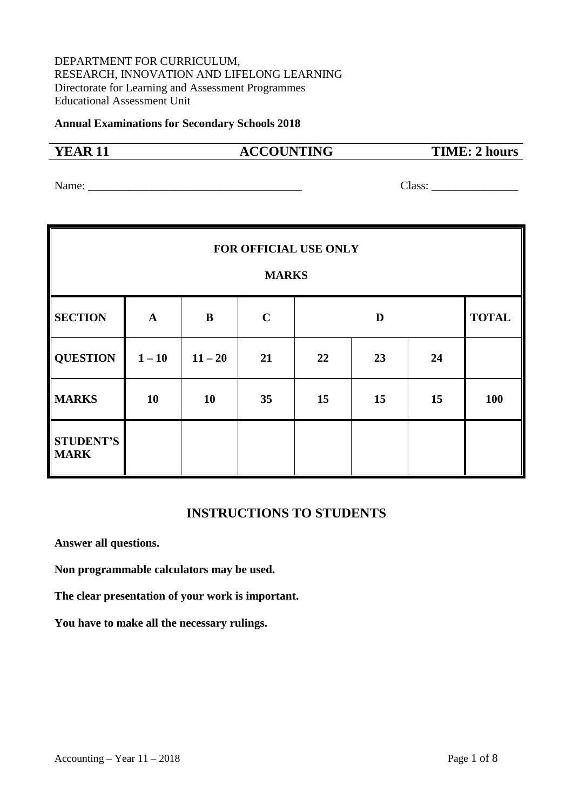# DEPARTMENT FOR CURRICULUM, RESEARCH, INNOVATION AND LIFELONG LEARNING Directorate for Learning and Assessment Programmes Educational Assessment Unit

#### **Annual Examinations for Secondary Schools 2018**

# **YEAR 11 ACCOUNTING TIME: 2 hours**

Name: \_\_\_\_\_\_\_\_\_\_\_\_\_\_\_\_\_\_\_\_\_\_\_\_\_\_\_\_\_\_\_\_\_\_\_\_\_ Class: \_\_\_\_\_\_\_\_\_\_\_\_\_\_\_

| FOR OFFICIAL USE ONLY<br><b>MARKS</b> |              |           |             |    |    |    |              |
|---------------------------------------|--------------|-----------|-------------|----|----|----|--------------|
| <b>SECTION</b>                        | $\mathbf{A}$ | $\bf{B}$  | $\mathbf C$ |    | D  |    | <b>TOTAL</b> |
| <b>QUESTION</b>                       | $1 - 10$     | $11 - 20$ | 21          | 22 | 23 | 24 |              |
| <b>MARKS</b>                          | 10           | 10        | 35          | 15 | 15 | 15 | 100          |
| <b>STUDENT'S</b><br><b>MARK</b>       |              |           |             |    |    |    |              |

# **INSTRUCTIONS TO STUDENTS**

**Answer all questions.**

**Non programmable calculators may be used.**

**The clear presentation of your work is important.**

**You have to make all the necessary rulings.**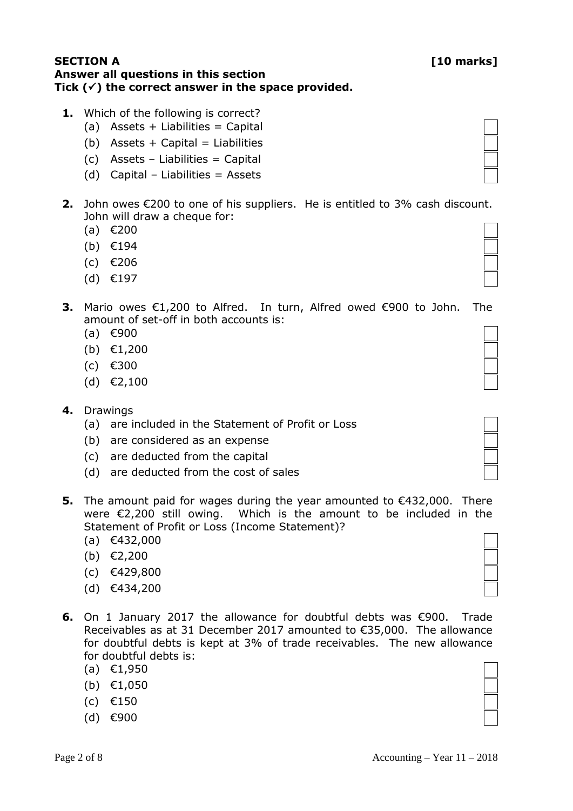# **SECTION A [10 marks] Answer all questions in this section Tick () the correct answer in the space provided.**

- **1.** Which of the following is correct?
	- $(a)$  Assets + Liabilities = Capital
	- (b) Assets  $+$  Capital = Liabilities
	- (c) Assets Liabilities = Capital
	- $(d)$  Capital Liabilities = Assets
- **2.** John owes €200 to one of his suppliers. He is entitled to 3% cash discount. John will draw a cheque for:
	- (a) €200
	- (b) €194
	- (c) €206
	- (d) €197
- **3.** Mario owes €1,200 to Alfred. In turn, Alfred owed €900 to John. amount of set-off in both accounts is:
	- (a) €900
	- (b) €1,200
	- (c) €300
	- (d) €2,100
- **4.** Drawings
	- (a) are included in the Statement of Profit or Loss
	- (b) are considered as an expense
	- (c) are deducted from the capital
	- (d) are deducted from the cost of sales
- **5.** The amount paid for wages during the year amounted to €432,000. There were €2,200 still owing. Which is the amount to be included in the Statement of Profit or Loss (Income Statement)?
	- (a) €432,000
	- (b) €2,200
	- (c) €429,800
	- (d) €434,200
- **6.** On 1 January 2017 the allowance for doubtful debts was €900. Trad Receivables as at 31 December 2017 amounted to  $\epsilon$ 35,000. The allowance for doubtful debts is kept at 3% of trade receivables. The new allowand for doubtful debts is:
	- (a) €1,950
	- (b) €1,050
	- (c) €150
	- (d) €900

| de |  |
|----|--|
| ce |  |
| ce |  |
|    |  |

| The |  |
|-----|--|
|     |  |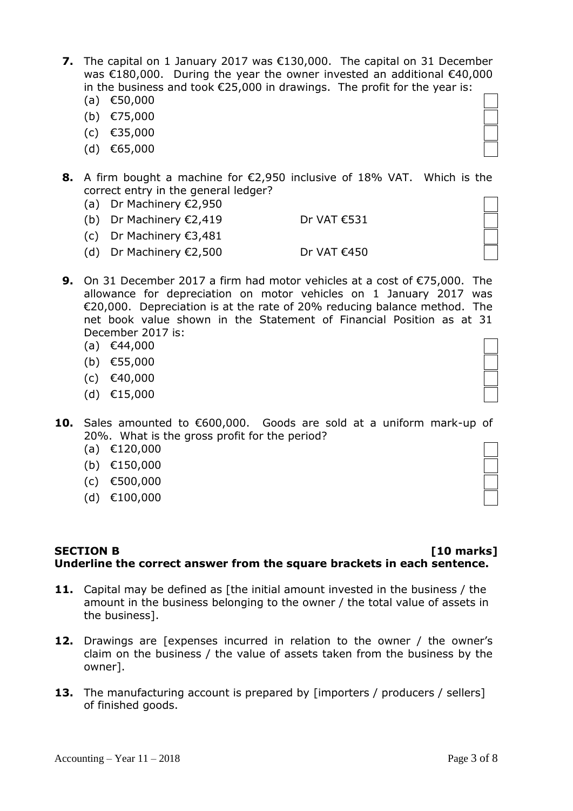- **7.** The capital on 1 January 2017 was €130,000. The capital on 31 December was €180,000. During the year the owner invested an additional €40,000 in the business and took €25,000 in drawings. The profit for the year is:
	- (a) €50,000
	- (b) €75,000
	- (c) €35,000
	- (d) €65,000
- **8.** A firm bought a machine for €2,950 inclusive of 18% VAT. Which is the correct entry in the general ledger?
	- (a) Dr Machinery €2,950
	- (b) Dr Machinery  $\epsilon$ 2,419 Dr VAT  $\epsilon$ 531
	- (c) Dr Machinery €3,481
	- (d) Dr Machinery  $\epsilon$ 2,500 Dr VAT  $\epsilon$ 450
- **9.** On 31 December 2017 a firm had motor vehicles at a cost of €75,000. The allowance for depreciation on motor vehicles on 1 January 2017 was €20,000. Depreciation is at the rate of 20% reducing balance method. The net book value shown in the Statement of Financial Position as at 31 December 2017 is:
	- (a) €44,000
	- (b) €55,000
	- (c) €40,000
	- (d) €15,000
- **10.** Sales amounted to €600,000. Goods are sold at a uniform mark-up of 20%. What is the gross profit for the period?
	- (a) €120,000
	- (b) €150,000
	- (c) €500,000
	- (d) €100,000

# **SECTION B [10 marks] Underline the correct answer from the square brackets in each sentence.**

- **11.** Capital may be defined as [the initial amount invested in the business / the amount in the business belonging to the owner / the total value of assets in the business].
- **12.** Drawings are [expenses incurred in relation to the owner / the owner's claim on the business / the value of assets taken from the business by the owner].
- **13.** The manufacturing account is prepared by [importers / producers / sellers] of finished goods.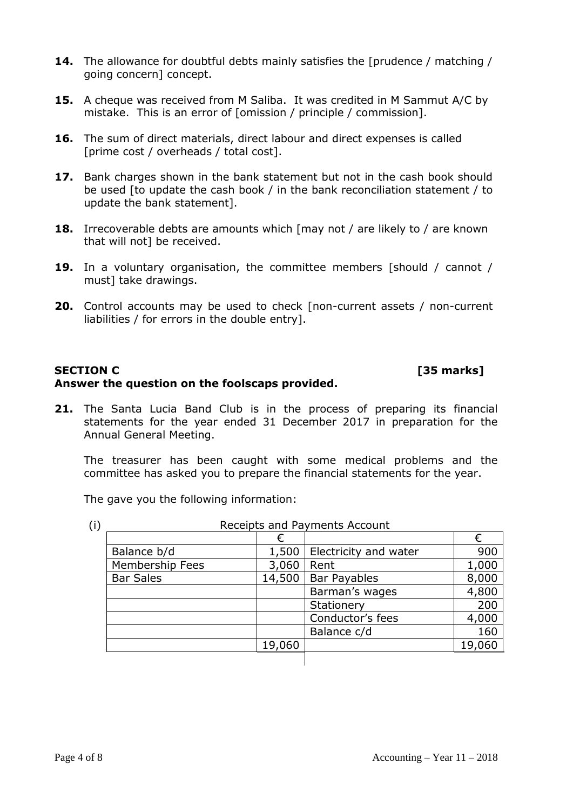- **14.** The allowance for doubtful debts mainly satisfies the [prudence / matching / going concern] concept.
- **15.** A cheque was received from M Saliba. It was credited in M Sammut A/C by mistake. This is an error of [omission / principle / commission].
- **16.** The sum of direct materials, direct labour and direct expenses is called [prime cost / overheads / total cost].
- **17.** Bank charges shown in the bank statement but not in the cash book should be used [to update the cash book / in the bank reconciliation statement / to update the bank statement].
- **18.** Irrecoverable debts are amounts which [may not / are likely to / are known that will not] be received.
- **19.** In a voluntary organisation, the committee members [should / cannot / must] take drawings.
- **20.** Control accounts may be used to check [non-current assets / non-current liabilities / for errors in the double entry].

## **SECTION C [35 marks] Answer the question on the foolscaps provided.**

### **21.** The Santa Lucia Band Club is in the process of preparing its financial statements for the year ended 31 December 2017 in preparation for the Annual General Meeting.

The treasurer has been caught with some medical problems and the committee has asked you to prepare the financial statements for the year.

The gave you the following information:

(i) Receipts and Payments Account

|                  | €      |                       | €      |
|------------------|--------|-----------------------|--------|
| Balance b/d      | 1,500  | Electricity and water | 900    |
| Membership Fees  | 3,060  | Rent                  | 1,000  |
| <b>Bar Sales</b> | 14,500 | <b>Bar Payables</b>   | 8,000  |
|                  |        | Barman's wages        | 4,800  |
|                  |        | Stationery            | 200    |
|                  |        | Conductor's fees      | 4,000  |
|                  |        | Balance c/d           | 160    |
|                  | 19,060 |                       | 19,060 |
|                  |        |                       |        |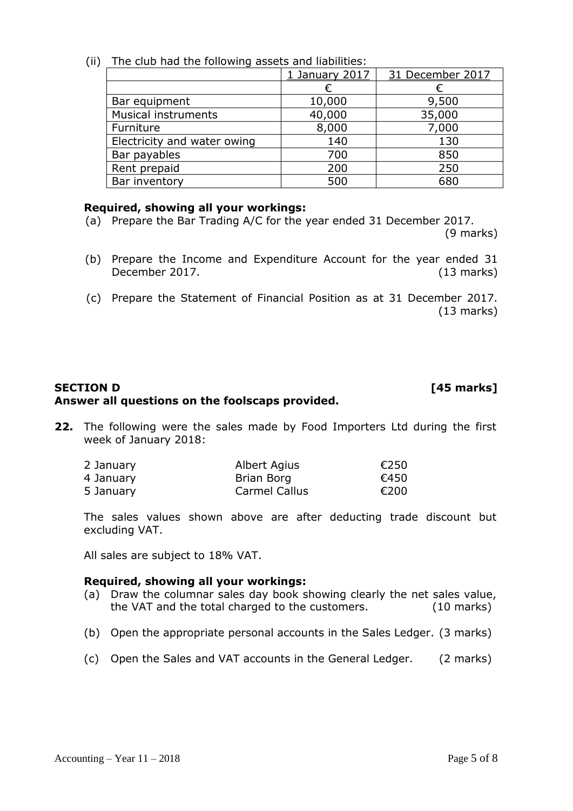# (ii) The club had the following assets and liabilities:

|                             | 1 January 2017 | 31 December 2017 |  |  |
|-----------------------------|----------------|------------------|--|--|
|                             |                |                  |  |  |
| Bar equipment               | 10,000         | 9,500            |  |  |
| Musical instruments         | 40,000         | 35,000           |  |  |
| Furniture                   | 8,000          | 7,000            |  |  |
| Electricity and water owing | 140            | 130              |  |  |
| Bar payables                | 700            | 850              |  |  |
| Rent prepaid                | 200            | 250              |  |  |
| Bar inventory               | 500            | 680              |  |  |

# **Required, showing all your workings:**

- (a) Prepare the Bar Trading A/C for the year ended 31 December 2017. (9 marks)
- (b) Prepare the Income and Expenditure Account for the year ended 31 December 2017. (13 marks)
- (c) Prepare the Statement of Financial Position as at 31 December 2017. (13 marks)

# **SECTION D [45 marks] Answer all questions on the foolscaps provided.**

**22.** The following were the sales made by Food Importers Ltd during the first week of January 2018:

| 2 January | Albert Agius         | €250 |
|-----------|----------------------|------|
| 4 January | Brian Borg           | €450 |
| 5 January | <b>Carmel Callus</b> | €200 |

The sales values shown above are after deducting trade discount but excluding VAT.

All sales are subject to 18% VAT.

### **Required, showing all your workings:**

- (a) Draw the columnar sales day book showing clearly the net sales value, the VAT and the total charged to the customers. (10 marks)
- (b) Open the appropriate personal accounts in the Sales Ledger. (3 marks)
- (c) Open the Sales and VAT accounts in the General Ledger. (2 marks)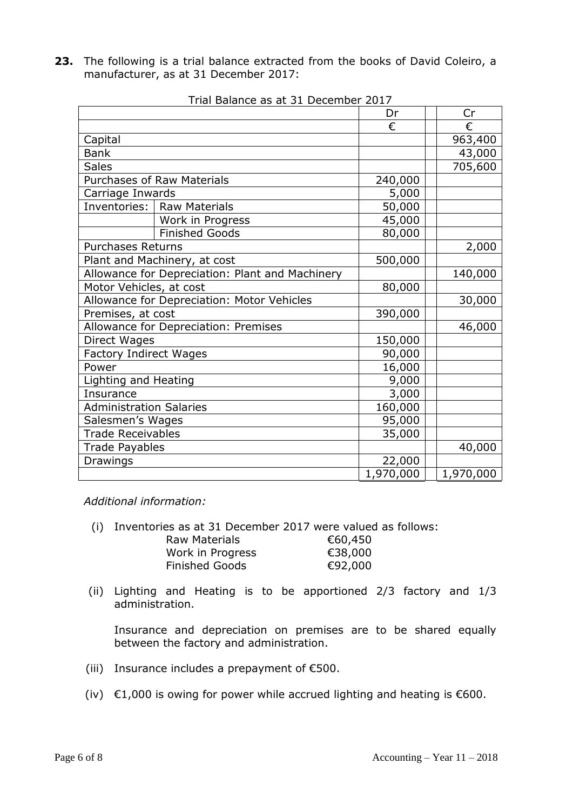**23.** The following is a trial balance extracted from the books of David Coleiro, a manufacturer, as at 31 December 2017:

|                                |                                                 | Dr        | Cr        |
|--------------------------------|-------------------------------------------------|-----------|-----------|
|                                |                                                 | €         | €         |
| Capital                        |                                                 |           | 963,400   |
| <b>Bank</b>                    |                                                 |           | 43,000    |
| <b>Sales</b>                   |                                                 |           | 705,600   |
|                                | <b>Purchases of Raw Materials</b>               | 240,000   |           |
| Carriage Inwards               |                                                 | 5,000     |           |
|                                | Inventories:   Raw Materials                    | 50,000    |           |
|                                | Work in Progress                                | 45,000    |           |
|                                | <b>Finished Goods</b>                           | 80,000    |           |
| <b>Purchases Returns</b>       |                                                 |           | 2,000     |
|                                | Plant and Machinery, at cost                    | 500,000   |           |
|                                | Allowance for Depreciation: Plant and Machinery |           | 140,000   |
| Motor Vehicles, at cost        |                                                 | 80,000    |           |
|                                | Allowance for Depreciation: Motor Vehicles      |           | 30,000    |
| Premises, at cost              |                                                 | 390,000   |           |
|                                | Allowance for Depreciation: Premises            |           | 46,000    |
| Direct Wages                   |                                                 | 150,000   |           |
| <b>Factory Indirect Wages</b>  |                                                 | 90,000    |           |
| Power                          |                                                 | 16,000    |           |
| Lighting and Heating           |                                                 | 9,000     |           |
| Insurance                      |                                                 | 3,000     |           |
| <b>Administration Salaries</b> |                                                 | 160,000   |           |
| Salesmen's Wages               |                                                 | 95,000    |           |
| <b>Trade Receivables</b>       |                                                 | 35,000    |           |
| <b>Trade Payables</b>          |                                                 |           | 40,000    |
| <b>Drawings</b>                |                                                 | 22,000    |           |
|                                |                                                 | 1,970,000 | 1,970,000 |

Trial Balance as at 31 December 2017

*Additional information:*

| (i) Inventories as at 31 December 2017 were valued as follows: |         |
|----------------------------------------------------------------|---------|
| Raw Materials                                                  | €60,450 |
| Work in Progress                                               | €38,000 |
| <b>Finished Goods</b>                                          | €92,000 |

(ii) Lighting and Heating is to be apportioned 2/3 factory and 1/3 administration.

Insurance and depreciation on premises are to be shared equally between the factory and administration.

- (iii) Insurance includes a prepayment of  $E$ 500.
- (iv)  $\epsilon$ 1,000 is owing for power while accrued lighting and heating is  $\epsilon$ 600.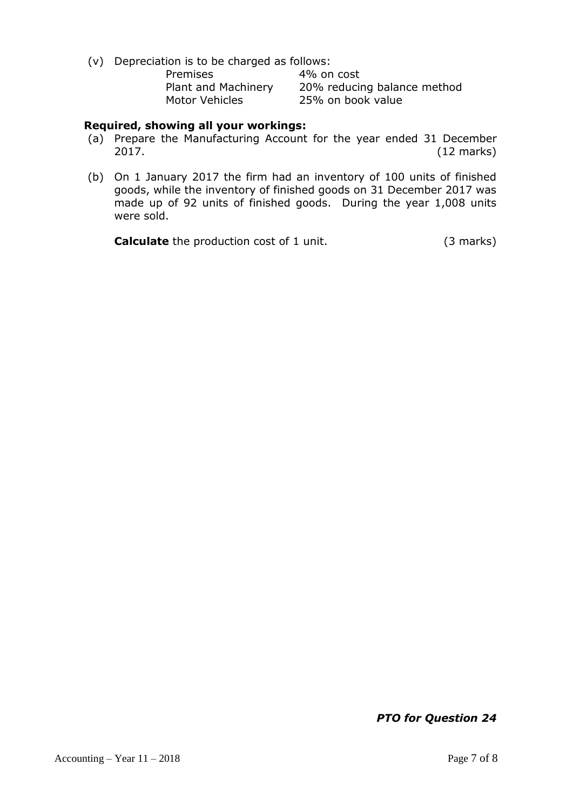(v) Depreciation is to be charged as follows:

| Premises              |  |
|-----------------------|--|
| Plant and Machinery   |  |
| <b>Motor Vehicles</b> |  |

4% on cost 20% reducing balance method 25% on book value

## **Required, showing all your workings:**

- (a) Prepare the Manufacturing Account for the year ended 31 December 2017. (12 marks)
- (b) On 1 January 2017 the firm had an inventory of 100 units of finished goods, while the inventory of finished goods on 31 December 2017 was made up of 92 units of finished goods. During the year 1,008 units were sold.

**Calculate** the production cost of 1 unit. (3 marks)

*PTO for Question 24*